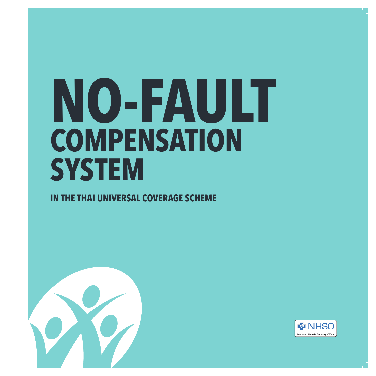# **NO-FAULT COMPENSATION SYSTEM**

### **IN THE THAI UNIVERSAL COVERAGE SCHEME**



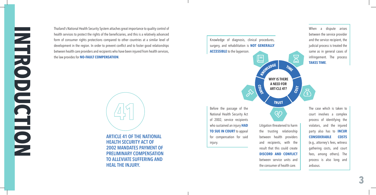Thailand's National Health Security System attaches great importance to quality control of health services to protect the rights of the beneficiaries, and this is a relatively advanced form of consumer rights protections compared to other countries at a similar level of development in the region. In order to prevent conflict and to foster good relationships between health care providers and recipients who have been injured from health services, the law provides for **NO-FAULT COMPENSATION** .



**ARTICLE 41 OF THE NATIONAL HEALTH SECURITY ACT OF 2002 MANDATES PAYMENT OF PRELIMINARY COMPENSATION TO ALLEVIATE SUFFERING AND HEAL THE INJURY.**



**3**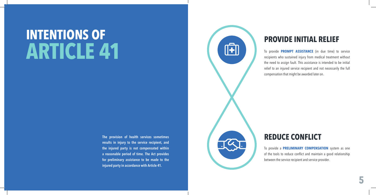## **INTENTIONS OF ARTICLE 41**

**The provision of health services sometimes results in injury to the service recipient, and the injured party is not compensated within a reasonable period of time. The Act provides for preliminary assistance to be made to the injured party in accordance with Article 41.**



### **PROVIDE INITIAL RELIEF**

To provide **PROMPT ASSISTANCE** (in due time) to service recipients who sustained injury from medical treatment without the need to assign fault. This assistance is intended to be initial relief to an injured service recipient and not necessarily the full compensation that might be awarded later on.



To provide a **PRELIMINARY COMPENSATION** system as one of the tools to reduce conflict and maintain a good relationship between the service recipient and service provider.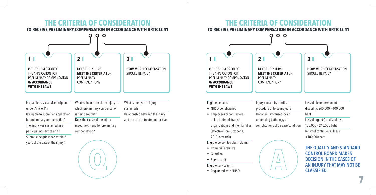### **THE CRITERIA OF CONSIDERATION TO RECEIVE PRELIMINARY COMPENSATION IN ACCORDANCE WITH ARTICLE 41**



Is qualified as a service recipient under Article 41? Is eligible to submit an application for preliminary compensation? The injury was sustained in a participating service unit? Submits the grievance within 2 years of the date of the injury?

What is the nature of the injury for which preliminary compensation is being sought? Does the cause of the injury meet the criteria for preliminary compensation?

**Q**

What is the type of injury sustained? Relationship between the injury and the care or treatment received

### **THE CRITERIA OF CONSIDERATION**

**TO RECEIVE PRELIMINARY COMPENSATION IN ACCORDANCE WITH ARTICLE 41**



Eligible persons:

- NHSO beneficiaries
- Employees or contractors of local administrative organizations and their families (effective from October 1, 2013, onwards).

Eligible person to submit claim:

- Immediate relative
- Guardian
- Service unit

Eligible service unit:

• Registered with NHSO

Injury caused by medical procedure or force majeure Not an injury caused by an underlying pathology or complications of disease/condition





**7**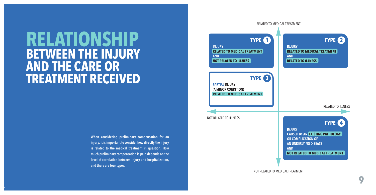## **RELATIONSHIP BETWEEN THE INJURY AND THE CARE OR TREATMENT RECEIVED**

**When considering preliminary compensation for an injury, it is important to consider how directly the injury is related to the medical treatment in question. How much preliminary compensation is paid depends on the level of correlation between injury and hospitalization, and there are four types.**



**9**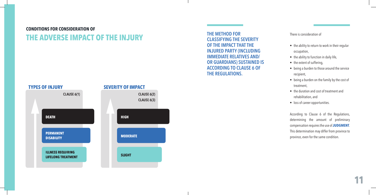### **CONDITIONS FOR CONSIDERATION OF THE ADVERSE IMPACT OF THE INJURY** THE METHOD FOR CLASSIFYING THE **THE METHOD**



**CLASSIFYING THE SEVERITY OF THE IMPACT THAT THE INJURED PARTY (INCLUDING IMMEDIATE RELATIVES AND/ OR GUARDIANS) SUSTAINED IS ACCORDING TO CLAUSE 6 OF THE REGULATIONS.**

#### There is consideration of

- the ability to return to work in their regular occupation,
- the ability to function in daily life,
- the extent of suffering,
- being a burden to those around the service recipient,
- being a burden on the family by the cost of treatment,
- the duration and cost of treatment and rehabilitation, and
- loss of career opportunities.

According to Clause 6 of the Regulations, determining the amount of preliminary compensation requires the use of **JUDGMENT**. This determination may differ from province to province, even for the same condition.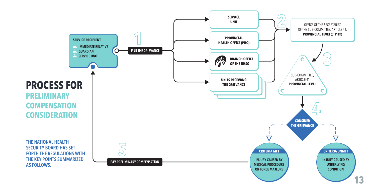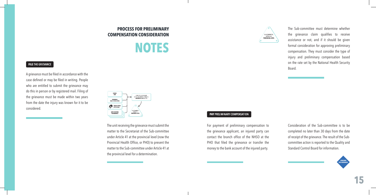### **PROCESS FOR PRELIMINARY COMPENSATION CONSIDERATION**



#### FILE THE GRIEVANCE

A grievance must be filed in accordance with the case defined or may be filed in writing. People who are entitled to submit the grievance may do this in person or by registered mail. Filing of the grievance must be made within two years from the date the injury was known for it to be considered.

| <b>SERVICE</b><br><b>UNIT</b>                   | OFFICE OF THE SECRETARIAT<br>OF THE SUB-COMMITTEE, ARTICLE 41. |
|-------------------------------------------------|----------------------------------------------------------------|
| <b>PROVINCIAL</b><br><b>HEALTH OFFICE (PHO)</b> | PROVINCIAL LEVEL (or PHO)                                      |
| <b>BRANCH OFFICE</b><br>OF THE NHSO             | с                                                              |
| <b>UNITS RECEIVING</b><br>THE GRIEVANCE         | SUB-COMMITTEE.<br>ARTICLE 41<br>PROVINCIAL LEVEL               |

The unit receiving the grievance must submit the matter to the Secretariat of the Sub-committee under Article 41 at the provincial level (now the Provincial Health Office, or PHO) to present the matter to the Sub-committee under Article 41 at the provincial level for a determination.



The Sub-committee must determine whether the grievance claim qualifies to receive assistance or not, and if it should be given formal consideration for approving preliminary compensation. They must consider the type of injury and preliminary compensation based on the rate set by the National Health Security Board.

#### **PAY PRELIMINARY COMPENSATION**

For payment of preliminary compensation to the grievance applicant, an injured party can contact the branch office of the NHSO at the PHO that filed the grievance or transfer the money to the bank account of the injured party.

Consideration of the Sub-committee is to be completed no later than 30 days from the date of receipt of the grievance. The result of the Subcommittee action is reported to the Quality and Standard Control Board for information.

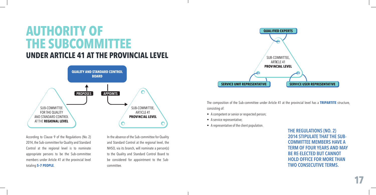### **AUTHORITY OF THE SUBCOMMITTEE UNDER ARTICLE 41 AT THE PROVINCIAL LEVEL**



According to Clause 9 of the Regulations (No. 2) 2014, the Sub-committee for Quality and Standard Control at the regional level is to nominate appropriate persons to be the Sub-committee members under Article 41 at the provincial level totaling **5–7 PEOPLE**.

In the absence of the Sub-committee for Quality and Standard Control at the regional level, the NHSO, via its branch, will nominate a person(s) to the Quality and Standard Control Board to be considered for appointment to the Subcommittee.



The composition of the Sub-committee under Article 41 at the provincial level has a **TRIPARTITE** structure, consisting of:

- A competent or senior or respected person;
- A service representative;
- A representative of the client population.

**THE REGULATIONS (NO. 2) 2014 STIPULATE THAT THE SUB-COMMITTEE MEMBERS HAVE A TERM OF FOUR YEARS AND MAY BE RE-ELECTED BUT CANNOT HOLD OFFICE FOR MORE THAN TWO CONSECUTIVE TERMS.**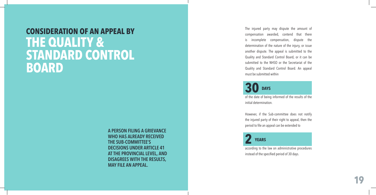### **CONSIDERATION OF AN APPEAL BY THE QUALITY & STANDARD CONTROL BOARD**

**A PERSON FILING A GRIEVANCE WHO HAS ALREADY RECEIVED THE SUB-COMMITTEE'S DECISIONS UNDER ARTICLE 41 AT THE PROVINCIAL LEVEL, AND DISAGREES WITH THE RESULTS, MAY FILE AN APPEAL.**

The injured party may dispute the amount of compensation awarded, contend that there is incomplete compensation, dispute the determination of the nature of the injury, or issue another dispute. The appeal is submitted to the Quality and Standard Control Board, or it can be submitted to the NHSO or the Secretariat of the Quality and Standard Control Board. An appeal must be submitted within

**30 DAYS**

of the date of being informed of the results of the initial determination.

However, if the Sub-committee does not notify the injured party of their right to appeal, then the period to file an appeal can be extended to



according to the law on administrative procedures instead of the specified period of 30 days.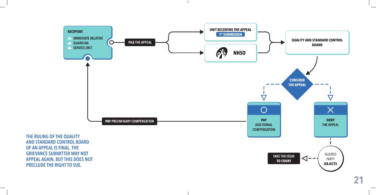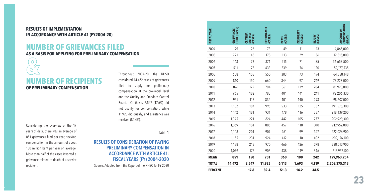#### **RESULTS OF IMPLEMENTATION IN ACCORDANCE WITH ARTICLE 41 (FY2004-20)**

### **NUMBER OF GRIEVANCES FILED AS A BASIS FOR APPLYING FOR PRELIMINARY COMPENSATION &**

**NUMBER OF RECIPIENTS OF PRELIMINARY COMPENSATION**

Considering the overview of the 17 years of data, there was an average of 851 grievances filed per year, seeking compensation in the amount of about 130 million baht per year on average. More than half of the cases involved a grievance related to death of a service

Throughout 2004-20, the NHSO considered 14,472 cases of grievances filed to apply for preliminary compensation at the provincial level and the Quality and Standard Control Board. Of these, 2,547 (17.6%) did not qualify for compensation, while 11,925 did qualify, and assistance was received (82.4%).

Table 1

### **RESULTS OF CONSIDERATION OF PAYING PRELIMINARY COMPENSATION IN ACCORDANCE WITH ARTICLE 41: FISCAL YEARS (FY) 2004-2020**

recipient. Source: Adapted from the Report of the NHSO for FY 2020

| <b>FISCAL YEAR</b> | FILED (CASES)<br><b>GRIEVANCES</b> | CRITERIA<br><b>NOT MET</b><br>(CASES) | CRITERIA MET<br>(CASES) | DEATH<br>(CASES) | <b>DISABILITY</b><br>(CASES) | <b>INJURY</b><br>(CASES) | <b>COMPENSATION</b><br><b>AMOUNT OF</b><br>(BAHT) |
|--------------------|------------------------------------|---------------------------------------|-------------------------|------------------|------------------------------|--------------------------|---------------------------------------------------|
| 2004               | 99                                 | 26                                    | 73                      | 49               | 11                           | 13                       | 4,865,000                                         |
| 2005               | 221                                | 43                                    | 178                     | 113              | 29                           | 36                       | 12,815,000                                        |
| 2006               | 443                                | 72                                    | 371                     | 215              | 71                           | 85                       | 36,653,500                                        |
| 2007               | 511                                | 78                                    | 433                     | 239              | 74                           | 120                      | 52,177,535                                        |
| 2008               | 658                                | 108                                   | 550                     | 303              | 73                           | 174                      | 64,858,148                                        |
| 2009               | 810                                | 150                                   | 660                     | 344              | 97                           | 219                      | 73,223,000                                        |
| 2010               | 876                                | 172                                   | 704                     | 361              | 139                          | 204                      | 81,920,000                                        |
| 2011               | 965                                | 182                                   | 783                     | 401              | 141                          | 241                      | 92,206,330                                        |
| 2012               | 951                                | 117                                   | 834                     | 401              | 140                          | 293                      | 98,607,000                                        |
| 2013               | 1,182                              | 187                                   | 995                     | 533              | 125                          | 337                      | 191,575,300                                       |
| 2014               | 1,112                              | 181                                   | 931                     | 478              | 116                          | 337                      | 218,439,200                                       |
| 2015               | 1,045                              | 221                                   | 824                     | 442              | 105                          | 277                      | 202,929,300                                       |
| 2016               | 1,069                              | 184                                   | 885                     | 457              | 118                          | 310                      | 212,952,000                                       |
| 2017               | 1,108                              | 201                                   | 907                     | 461              | 99                           | 347                      | 222,026,900                                       |
| 2018               | 1,155                              | 231                                   | 924                     | 412              | 110                          | 402                      | 202,156,100                                       |
| 2019               | 1,188                              | 218                                   | 970                     | 466              | 126                          | 378                      | 228,013,900                                       |
| 2020               | 1,079                              | 176                                   | 903                     | 438              | 119                          | 346                      | 213,957,100                                       |
| <b>MEAN</b>        | 851                                | 150                                   | 701                     | 360              | 100                          | 242                      | 129,963,254                                       |
| <b>TOTAL</b>       | 14,472                             | 2,547                                 | 11,925                  | 6,113            | 1,693                        | 4,119                    | 2,209,375,313                                     |
| <b>PERCENT</b>     |                                    | 17.6                                  | 82.4                    | 51.3             | 14.2                         | 34.5                     |                                                   |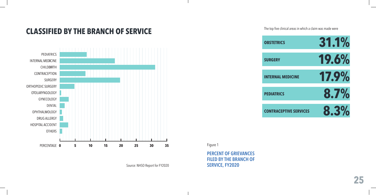### **CLASSIFIED BY THE BRANCH OF SERVICE** The top five clinical areas in which a claim was made were



**Source: NHSO Report for FY2020** 



Figure 1

**PERCENT OF GRIEVANCES FILED BY THE BRANCH OF**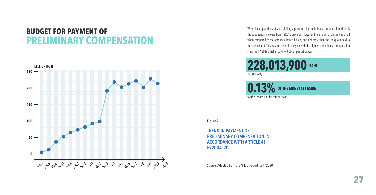### **BUDGET FOR PAYMENT OF PRELIMINARY COMPENSATION**



When looking at the statistics of filing a grievance for preliminary compensation, there is the exponential increase from FY2013 onwards. However, the amount of claims was small when compared to the amount allowed by law, and not more than the 1% quota paid to the service unit. This was true even in the year with the highest preliminary compensation statistics (FY2019), that is, payment of compensation was

228,013,900 BAHT but still, only

**0.13%** OF THE MONEY SET ASIDE

for the service unit for this purpose.

Figure 2

**TREND IN PAYMENT OF PRELIMINARY COMPENSATION IN ACCORDANCE WITH ARTICLE 41, FY2004–20**

Source: Adapted from the NHSO Report for FY2020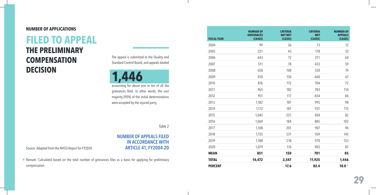#### **NUMBER OF APPLICATIONS**

### **FILED TO APPEAL THE PRELIMINARY COMPENSATION DECISION**

The appeal is submitted to the Quality and Standard Control Board, and appeals totaled

**1,446**

accounting for about one in ten of all the grievances filed. In other words, the vast majority (90%) of the initial determinations were accepted by the injured party.

Table 2

#### **NUMBER OF APPEALS FILED IN ACCORDANCE WITH ARTICLE 41, FY2004-20**

Source: Adapted from the NHSO Report for FY2020

\* Remark: Calculated based on the total number of grievances files as a basis for applying for preliminary compensation

| <b>FISCAL YEAR</b> | <b>NUMBER OF</b><br><b>GRIEVANCES</b><br>(CASES) | <b>CRITERIA</b><br><b>NOT MET</b><br>(CASES) | <b>CRITERIA</b><br><b>MET</b><br>(CASES) | <b>NUMBER OF</b><br><b>APPEALS</b><br>(CASES) |
|--------------------|--------------------------------------------------|----------------------------------------------|------------------------------------------|-----------------------------------------------|
| 2004               | 99                                               | 26                                           | 73                                       | 12                                            |
| 2005               | 221                                              | 43                                           | 178                                      | 32                                            |
| 2006               | 443                                              | 72                                           | 371                                      | 60                                            |
| 2007               | 511                                              | 78                                           | 433                                      | 59                                            |
| 2008               | 658                                              | 108                                          | 550                                      | 74                                            |
| 2009               | 810                                              | 150                                          | 660                                      | 67                                            |
| 2010               | 876                                              | 172                                          | 704                                      | 72                                            |
| 2011               | 965                                              | 182                                          | 783                                      | 114                                           |
| 2012               | 951                                              | 117                                          | 834                                      | 84                                            |
| 2013               | 1,182                                            | 187                                          | 995                                      | 98                                            |
| 2014               | 1,112                                            | 181                                          | 931                                      | 112                                           |
| 2015               | 1,045                                            | 221                                          | 824                                      | 82                                            |
| 2016               | 1,069                                            | 184                                          | 885                                      | 102                                           |
| 2017               | 1,108                                            | 201                                          | 907                                      | 96                                            |
| 2018               | 1,155                                            | 231                                          | 924                                      | 142                                           |
| 2019               | 1,188                                            | 218                                          | 970                                      | 153                                           |
| 2020               | 1,079                                            | 176                                          | 903                                      | 87                                            |
| <b>MEAN</b>        | 851                                              | 150                                          | 701                                      | 85                                            |
| <b>TOTAL</b>       | 14,472                                           | 2,547                                        | 11,925                                   | 1,446                                         |
| <b>PERCENT</b>     |                                                  | 17.6                                         | 82.4                                     | $10.0*$                                       |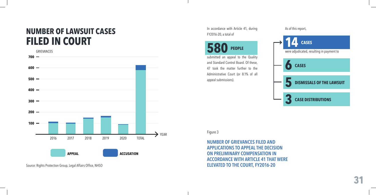### **NUMBER OF LAWSUIT CASES FILED IN COURT**



Source: Rights Protection Group, Legal Affairs Office, NHSO

In accordance with Article 41, during FY2016-20, a total of

### **580 PEOPLE**

submitted an appeal to the Quality and Standard Control Board. Of these, 47 took the matter further to the Administrative Court (or 8.1% of all appeal submissions).

#### As of this report,



Figure 3

**NUMBER OF GRIEVANCES FILED AND APPLICATIONS TO APPEAL THE DECISION ON PRELIMINARY COMPENSATION IN ACCORDANCE WITH ARTICLE 41 THAT WERE ELEVATED TO THE COURT, FY2016-20**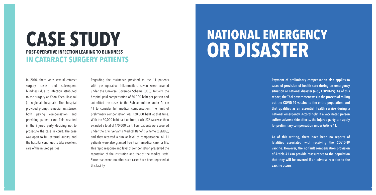### **CASE STUDY POST-OPERATIVE INFECTION LEADING TO BLINDNESS IN CATARACT SURGERY PATIENTS**

In 2010, there were several cataract surgery cases and subsequent blindness due to infection attributed to the surgery at Khon Kaen Hospital (a regional hospital). The hospital provided prompt remedial assistance, both paying compensation and providing patient care. This resulted in the injured party deciding not to prosecute the case in court. The case was open to full external audits, and the hospital continues to take excellent care of the injured parties

Regarding the assistance provided to the 11 patients with post-operative inflammation, seven were covered under the Universal Coverage Scheme (UCS). Initially, the hospital paid compensation of 50,000 baht per person and submitted the cases to the Sub-committee under Article 41 to consider full medical compensation. The limit of preliminary compensation was 120,000 baht at that time. With the 50,000 baht paid up front, each UCS case was then awarded a total of 170,000 baht. Four patients were covered under the Civil Servants Medical Benefit Scheme (CSMBS), and they received a similar level of compensation. All 11 patients were also granted free health/medical care for life. This rapid response and level of compensation preserved the reputation of the institution and that of the medical staff. Since that event, no other such cases have been reported at this facility.

## **NATIONAL EMERGENCY OR DISASTER**

**Payment of preliminary compensation also applies to cases of provision of health care during an emergency situation or national disaster (e.g., COVID-19). As of this report, the Thai government was in the process of rolling out the COVID-19 vaccine to the entire population, and that qualifies as an essential health service during a national emergency. Accordingly, if a vaccinated person suffers adverse side effects, the injured party can apply for preliminary compensation under Article 41.**

**As of this writing, there have been no reports of fatalities associated with receiving the COVID-19 vaccine. However, the no-fault compensation provision of Article 41 can provide reassurance to the population that they will be covered if an adverse reaction to the vaccine occurs.**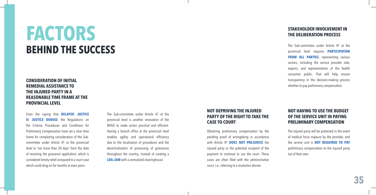## **FACTORS BEHIND THE SUCCESS**

#### **CONSIDERATION OF INITIAL REMEDIAL ASSISTANCE TO THE INJURED PARTY IN A REASONABLE TIME FRAME AT THE PROVINCIAL LEVEL**

From the saying that **DELAYED JUSTICE IS JUSTICE DENIED**, the Regulations on the Criteria, Procedures and Conditions for Preliminary Compensation have set a clear time frame for completing consideration of the Subcommittee under Article 41 at the provincial level to 'not more than 30 days' from the date of receiving the grievance application, which is considered timely relief compared to a court case which could drag on for months or even years.

The Sub-committee under Article 41 at the provincial level is another innovation of the NHSO to make action practical and efficient. Having a branch office at the provincial level enables agility and operational efficiency due to the localization of procedures and the decentralization of processing of grievances throughout the country, instead of creating a **LOG-JAM** with a centralized clearinghouse.

#### **NOT DEPRIVING THE INJURED PARTY OF THE RIGHT TO TAKE THE CASE TO COURT**

Obtaining preliminary compensation by the pending proof of wrongdoing in accordance with Article 41 **DOES NOT PREJUDICE** the injured party or the potential recipient of the payment to continue to sue the court. These cases are often filed with the administrative court, i.e., referring to a resolution decree.

#### **STAKEHOLDER INVOLVEMENT IN THE DELIBERATION PROCESS**

The Sub-committee under Article 41 at the provincial level requires **PARTICIPATION FROM ALL PARTIES**, representing various sectors, including the service provider side, experts, and representatives of the health consumer public. That will help ensure transparency in the decision-making process whether to pay preliminary compensation.

#### **NOT HAVING TO USE THE BUDGET OF THE SERVICE UNIT IN PAYING PRELIMINARY COMPENSATION**

The injured party will be protected in the event of medical force majeure by the provider, and the service unit is **NOT REQUIRED TO PAY**  preliminary compensation to the injured party out of their own.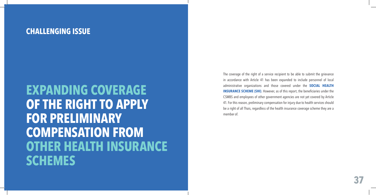### **CHALLENGING ISSUE**

**EXPANDING COVERAGE OF THE RIGHT TO APPLY FOR PRELIMINARY COMPENSATION FROM OTHER HEALTH INSURANCE SCHEMES**

The coverage of the right of a service recipient to be able to submit the grievance in accordance with Article 41 has been expanded to include personnel of local administrative organizations and those covered under the **SOCIAL HEALTH INSURANCE SCHEME (SHI)**. However, as of this report, the beneficiaries under the CSMBS and employees of other government agencies are not yet covered by Article 41. For this reason, preliminary compensation for injury due to health services should be a right of all Thais, regardless of the health insurance coverage scheme they are a member of.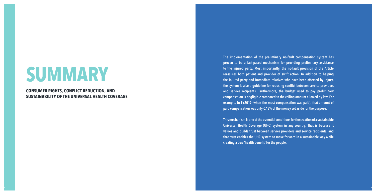# **SUMMARY**

**CONSUMER RIGHTS, CONFLICT REDUCTION, AND SUSTAINABILITY OF THE UNIVERSAL HEALTH COVERAGE** **The implementation of the preliminary no-fault compensation system has proven to be a fast-paced mechanism for providing preliminary assistance to the injured party. Most importantly, the no-fault provision of the Article reassures both patient and provider of swift action. In addition to helping the injured party and immediate relatives who have been affected by injury, the system is also a guideline for reducing conflict between service providers and service recipients. Furthermore, the budget used to pay preliminary compensation is negligible compared to the ceiling amount allowed by law. For example, in FY2019 (when the most compensation was paid), that amount of paid compensation was only 0.13% of the money set aside for the purpose.**

**This mechanism is one of the essential conditions for the creation of a sustainable Universal Health Coverage (UHC) system in any country. That is because it values and builds trust between service providers and service recipients, and that trust enables the UHC system to move forward in a sustainable way while creating a true 'health benefit' for the people.**